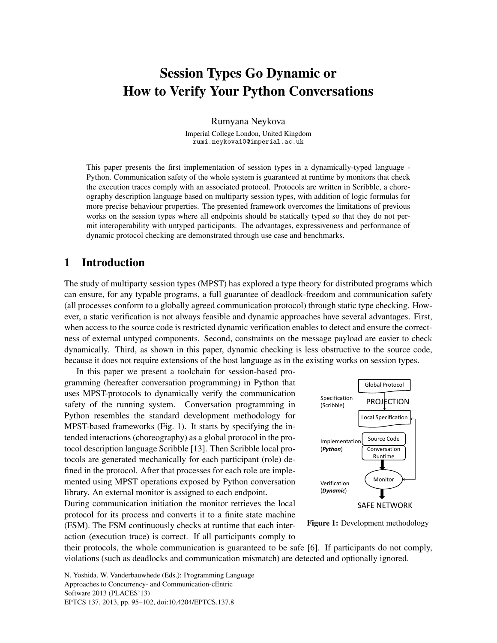# Session Types Go Dynamic or How to Verify Your Python Conversations

Rumyana Neykova

Imperial College London, United Kingdom rumi.neykova10@imperial.ac.uk

This paper presents the first implementation of session types in a dynamically-typed language - Python. Communication safety of the whole system is guaranteed at runtime by monitors that check the execution traces comply with an associated protocol. Protocols are written in Scribble, a choreography description language based on multiparty session types, with addition of logic formulas for more precise behaviour properties. The presented framework overcomes the limitations of previous works on the session types where all endpoints should be statically typed so that they do not permit interoperability with untyped participants. The advantages, expressiveness and performance of dynamic protocol checking are demonstrated through use case and benchmarks.

### 1 Introduction

The study of multiparty session types (MPST) has explored a type theory for distributed programs which can ensure, for any typable programs, a full guarantee of deadlock-freedom and communication safety (all processes conform to a globally agreed communication protocol) through static type checking. However, a static verification is not always feasible and dynamic approaches have several advantages. First, when access to the source code is restricted dynamic verification enables to detect and ensure the correctness of external untyped components. Second, constraints on the message payload are easier to check dynamically. Third, as shown in this paper, dynamic checking is less obstructive to the source code, because it does not require extensions of the host language as in the existing works on session types.

In this paper we present a toolchain for session-based programming (hereafter conversation programming) in Python that uses MPST-protocols to dynamically verify the communication safety of the running system. Conversation programming in Python resembles the standard development methodology for MPST-based frameworks (Fig. [1\)](#page-0-0). It starts by specifying the intended interactions (choreography) as a global protocol in the protocol description language Scribble [\[13\]](#page-7-1). Then Scribble local protocols are generated mechanically for each participant (role) defined in the protocol. After that processes for each role are implemented using MPST operations exposed by Python conversation library. An external monitor is assigned to each endpoint. During communication initiation the monitor retrieves the local protocol for its process and converts it to a finite state machine

(FSM). The FSM continuously checks at runtime that each interaction (execution trace) is correct. If all participants comply to

<span id="page-0-0"></span>



their protocols, the whole communication is guaranteed to be safe [\[6\]](#page-6-0). If participants do not comply, violations (such as deadlocks and communication mismatch) are detected and optionally ignored.

N. Yoshida, W. Vanderbauwhede (Eds.): Programming Language Approaches to Concurrency- and Communication-cEntric Software 2013 (PLACES'13) EPTCS 137, 2013, pp. 95[–102,](#page-7-0) doi[:10.4204/EPTCS.137.8](http://dx.doi.org/10.4204/EPTCS.137.8)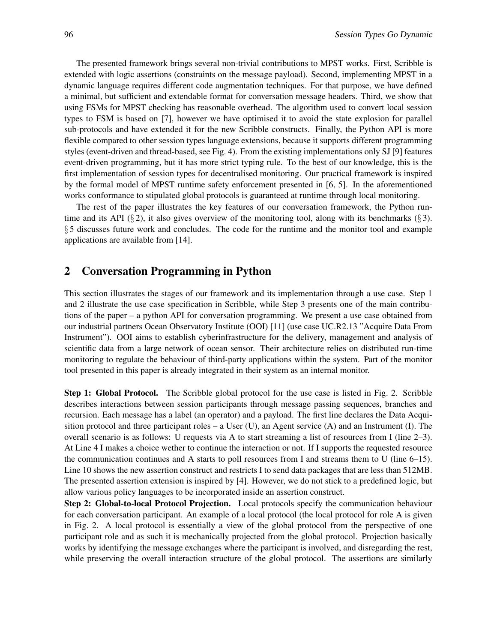The presented framework brings several non-trivial contributions to MPST works. First, Scribble is extended with logic assertions (constraints on the message payload). Second, implementing MPST in a dynamic language requires different code augmentation techniques. For that purpose, we have defined a minimal, but sufficient and extendable format for conversation message headers. Third, we show that using FSMs for MPST checking has reasonable overhead. The algorithm used to convert local session types to FSM is based on [\[7\]](#page-6-1), however we have optimised it to avoid the state explosion for parallel sub-protocols and have extended it for the new Scribble constructs. Finally, the Python API is more flexible compared to other session types language extensions, because it supports different programming styles (event-driven and thread-based, see Fig. [4\)](#page-3-0). From the existing implementations only SJ [\[9\]](#page-6-2) features event-driven programming, but it has more strict typing rule. To the best of our knowledge, this is the first implementation of session types for decentralised monitoring. Our practical framework is inspired by the formal model of MPST runtime safety enforcement presented in [\[6,](#page-6-0) [5\]](#page-6-3). In the aforementioned works conformance to stipulated global protocols is guaranteed at runtime through local monitoring.

The rest of the paper illustrates the key features of our conversation framework, the Python run-time and its API (§ [2\)](#page-1-0), it also gives overview of the monitoring tool, along with its benchmarks (§ [3\)](#page-3-1). § [5](#page-6-4) discusses future work and concludes. The code for the runtime and the monitor tool and example applications are available from [\[14\]](#page-7-2).

#### <span id="page-1-0"></span>2 Conversation Programming in Python

This section illustrates the stages of our framework and its implementation through a use case. Step 1 and 2 illustrate the use case specification in Scribble, while Step 3 presents one of the main contributions of the paper – a python API for conversation programming. We present a use case obtained from our industrial partners Ocean Observatory Institute (OOI) [\[11\]](#page-7-3) (use case UC.R2.13 "Acquire Data From Instrument"). OOI aims to establish cyberinfrastructure for the delivery, management and analysis of scientific data from a large network of ocean sensor. Their architecture relies on distributed run-time monitoring to regulate the behaviour of third-party applications within the system. Part of the monitor tool presented in this paper is already integrated in their system as an internal monitor.

Step 1: Global Protocol. The Scribble global protocol for the use case is listed in Fig. [2.](#page-2-0) Scribble describes interactions between session participants through message passing sequences, branches and recursion. Each message has a label (an operator) and a payload. The first line declares the Data Acquisition protocol and three participant roles  $-$  a User (U), an Agent service (A) and an Instrument (I). The overall scenario is as follows: U requests via A to start streaming a list of resources from I (line 2–3). At Line 4 I makes a choice wether to continue the interaction or not. If I supports the requested resource the communication continues and A starts to poll resources from I and streams them to U (line 6–15). Line 10 shows the new assertion construct and restricts I to send data packages that are less than 512MB. The presented assertion extension is inspired by [\[4\]](#page-6-5). However, we do not stick to a predefined logic, but allow various policy languages to be incorporated inside an assertion construct.

Step 2: Global-to-local Protocol Projection. Local protocols specify the communication behaviour for each conversation participant. An example of a local protocol (the local protocol for role A is given in Fig. [2.](#page-2-0) A local protocol is essentially a view of the global protocol from the perspective of one participant role and as such it is mechanically projected from the global protocol. Projection basically works by identifying the message exchanges where the participant is involved, and disregarding the rest, while preserving the overall interaction structure of the global protocol. The assertions are similarly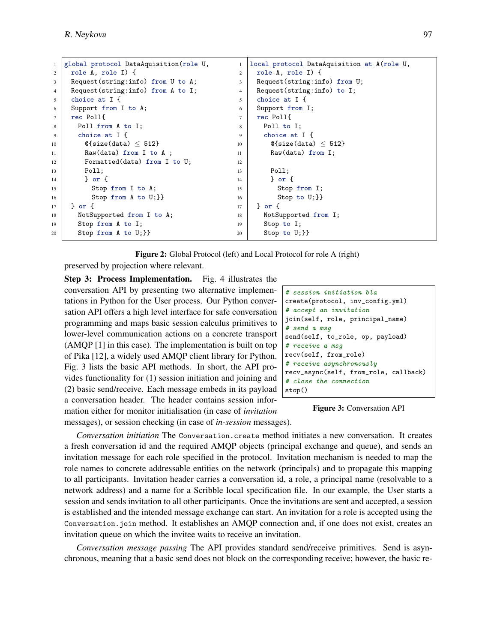```
1 global protocol DataAquisition(role U,
2 role A, role I) {
3 Request(string:info) from U to A;
4 Request(string:info) from A to I;
5 choice at I {
6 Support from I to A;
7 rec Poll{
8 Poll from A to I;
9 choice at I {
10 \left[ \n\begin{array}{c} \n0 & \text{else (data)} \n\end{array} \right]11 Raw(data) from I to A;
12 Formatted(data) from I to U;
13 Poll;
14 } or {
15 Stop from I to A;
16 Stop from A to U; } }
17 } or {
18 NotSupported from I to A;
19 Stop from A to I;
20 Stop from A to U; } }
                                              1 | local protocol DataAquisition at A(role U,
                                              2 role A, role I) {
                                              3 Request(string:info) from U;
                                              4 Request(string:info) to I;
                                              5 choice at I {
                                              6 | Support from I;
                                              7 rec Poll{
                                              8 Poll to I;
                                              9 choice at I {
                                             10 \left| \right| @{size(data) \leq 512}
                                             11 Raw(data) from I;
                                             12
                                             13 Poll;
                                             14 } or {
                                             15 Stop from I;
                                             16 | Stop to U; } }
                                             17 } or {
                                             18 NotSupported from I;
                                             19 Stop to I;
                                             20 Stop to U; } }
```
Figure 2: Global Protocol (left) and Local Protocol for role A (right)

preserved by projection where relevant.

Step 3: Process Implementation. Fig. [4](#page-3-0) illustrates the conversation API by presenting two alternative implementations in Python for the User process. Our Python conversation API offers a high level interface for safe conversation programming and maps basic session calculus primitives to lower-level communication actions on a concrete transport (AMQP [\[1\]](#page-6-6) in this case). The implementation is built on top of Pika [\[12\]](#page-7-4), a widely used AMQP client library for Python. Fig. [3](#page-2-1) lists the basic API methods. In short, the API provides functionality for (1) session initiation and joining and (2) basic send/receive. Each message embeds in its payload a conversation header. The header contains session information either for monitor initialisation (in case of *invitation*

```
# session initiation bla
create(protocol, inv_config.yml)
# accept an invitation
join(self, role, principal_name)
# send a msg
send(self, to_role, op, payload)
# receive a msg
recv(self, from_role)
# receive asynchronously
recv_async(self, from_role, callback)
# close the connection
stop()
```
Figure 3: Conversation API

messages), or session checking (in case of *in-session* messages).

*Conversation initiation* The Conversation.create method initiates a new conversation. It creates a fresh conversation id and the required AMQP objects (principal exchange and queue), and sends an invitation message for each role specified in the protocol. Invitation mechanism is needed to map the role names to concrete addressable entities on the network (principals) and to propagate this mapping to all participants. Invitation header carries a conversation id, a role, a principal name (resolvable to a network address) and a name for a Scribble local specification file. In our example, the User starts a session and sends invitation to all other participants. Once the invitations are sent and accepted, a session is established and the intended message exchange can start. An invitation for a role is accepted using the Conversation.join method. It establishes an AMQP connection and, if one does not exist, creates an invitation queue on which the invitee waits to receive an invitation.

*Conversation message passing* The API provides standard send/receive primitives. Send is asynchronous, meaning that a basic send does not block on the corresponding receive; however, the basic re-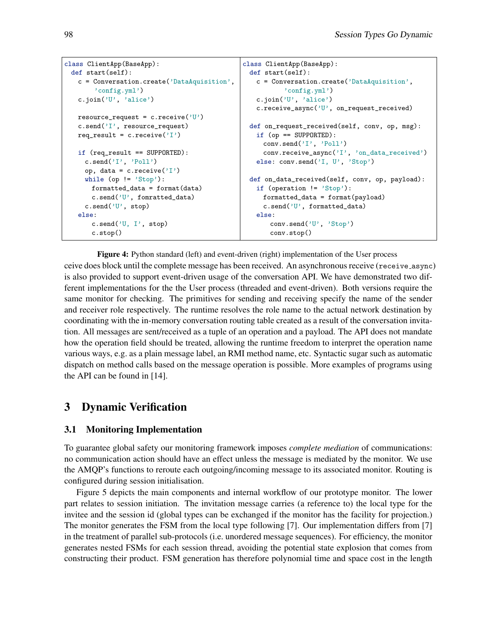```
class ClientApp(BaseApp):
 def start(self):
   c = Conversation.create('DataAquisition',
        'config.yml')
   c.join('U', 'alice')
   resource_request = c.receive('U')
   c.send('I', resource_request)
   req_result = c.receive('I')
   if (req_result == SUPPORTED):
     c.send('I', 'Poll')
     op, data = c. receive('I')
     while (op != 'Stop'):
       formatted_data = format(data)
       c.send('U', fomratted_data)
     c.send('U', stop)
   else:
       c.send('U, I', stop)
       c.stop()
                                               class ClientApp(BaseApp):
                                                 def start(self):
                                                   c = Conversation.create('DataAquisition',
                                                          'config.yml')
                                                   c.join('U', 'alice')
                                                   c.receive_async('U', on_request_received)
                                                 def on_request_received(self, conv, op, msg):
                                                   if (op == SUPPORTED):
                                                    conv.send('I', 'Poll')
                                                     conv.receive_async('I', 'on_data_received')
                                                   else: conv.send('I, U', 'Stop')
                                                 def on_data_received(self, conv, op, payload):
                                                   if (operation != 'Stop'):
                                                    formatted_data = format(payload)
                                                     c.send('U', formatted_data)
                                                   else:
                                                      conv.send('U', 'Stop')
                                                      conv.stop()
```
Figure 4: Python standard (left) and event-driven (right) implementation of the User process ceive does block until the complete message has been received. An asynchronous receive (receive async) is also provided to support event-driven usage of the conversation API. We have demonstrated two different implementations for the the User process (threaded and event-driven). Both versions require the same monitor for checking. The primitives for sending and receiving specify the name of the sender and receiver role respectively. The runtime resolves the role name to the actual network destination by coordinating with the in-memory conversation routing table created as a result of the conversation invitation. All messages are sent/received as a tuple of an operation and a payload. The API does not mandate how the operation field should be treated, allowing the runtime freedom to interpret the operation name various ways, e.g. as a plain message label, an RMI method name, etc. Syntactic sugar such as automatic dispatch on method calls based on the message operation is possible. More examples of programs using the API can be found in [\[14\]](#page-7-2).

## <span id="page-3-1"></span>3 Dynamic Verification

#### 3.1 Monitoring Implementation

To guarantee global safety our monitoring framework imposes *complete mediation* of communications: no communication action should have an effect unless the message is mediated by the monitor. We use the AMQP's functions to reroute each outgoing/incoming message to its associated monitor. Routing is configured during session initialisation.

Figure [5](#page-4-0) depicts the main components and internal workflow of our prototype monitor. The lower part relates to session initiation. The invitation message carries (a reference to) the local type for the invitee and the session id (global types can be exchanged if the monitor has the facility for projection.) The monitor generates the FSM from the local type following [\[7\]](#page-6-1). Our implementation differs from [\[7\]](#page-6-1) in the treatment of parallel sub-protocols (i.e. unordered message sequences). For efficiency, the monitor generates nested FSMs for each session thread, avoiding the potential state explosion that comes from constructing their product. FSM generation has therefore polynomial time and space cost in the length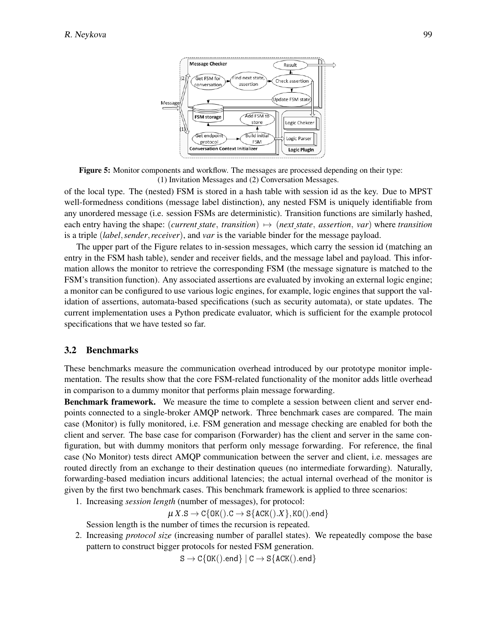<span id="page-4-0"></span>

Figure 5: Monitor components and workflow. The messages are processed depending on their type: (1) Invitation Messages and (2) Conversation Messages.

of the local type. The (nested) FSM is stored in a hash table with session id as the key. Due to MPST well-formedness conditions (message label distinction), any nested FSM is uniquely identifiable from any unordered message (i.e. session FSMs are deterministic). Transition functions are similarly hashed, each entry having the shape: (*current state*, *transition*)  $\mapsto$  (*next state*, *assertion*, *var*) where *transition* is a triple (*label*,*sender*,*receiver*), and *var* is the variable binder for the message payload.

The upper part of the Figure relates to in-session messages, which carry the session id (matching an entry in the FSM hash table), sender and receiver fields, and the message label and payload. This information allows the monitor to retrieve the corresponding FSM (the message signature is matched to the FSM's transition function). Any associated assertions are evaluated by invoking an external logic engine; a monitor can be configured to use various logic engines, for example, logic engines that support the validation of assertions, automata-based specifications (such as security automata), or state updates. The current implementation uses a Python predicate evaluator, which is sufficient for the example protocol specifications that we have tested so far.

#### 3.2 Benchmarks

These benchmarks measure the communication overhead introduced by our prototype monitor implementation. The results show that the core FSM-related functionality of the monitor adds little overhead in comparison to a dummy monitor that performs plain message forwarding.

Benchmark framework. We measure the time to complete a session between client and server endpoints connected to a single-broker AMQP network. Three benchmark cases are compared. The main case (Monitor) is fully monitored, i.e. FSM generation and message checking are enabled for both the client and server. The base case for comparison (Forwarder) has the client and server in the same configuration, but with dummy monitors that perform only message forwarding. For reference, the final case (No Monitor) tests direct AMQP communication between the server and client, i.e. messages are routed directly from an exchange to their destination queues (no intermediate forwarding). Naturally, forwarding-based mediation incurs additional latencies; the actual internal overhead of the monitor is given by the first two benchmark cases. This benchmark framework is applied to three scenarios:

1. Increasing *session length* (number of messages), for protocol:

 $\mu X.S \to C\{OK().C \to S\{ACK().X\}, KO().end\}$ 

Session length is the number of times the recursion is repeated.

2. Increasing *protocol size* (increasing number of parallel states). We repeatedly compose the base pattern to construct bigger protocols for nested FSM generation.

 $S \to C\{OK(\text{).end}\}\mid C \to S\{ACK(\text{).end}\}$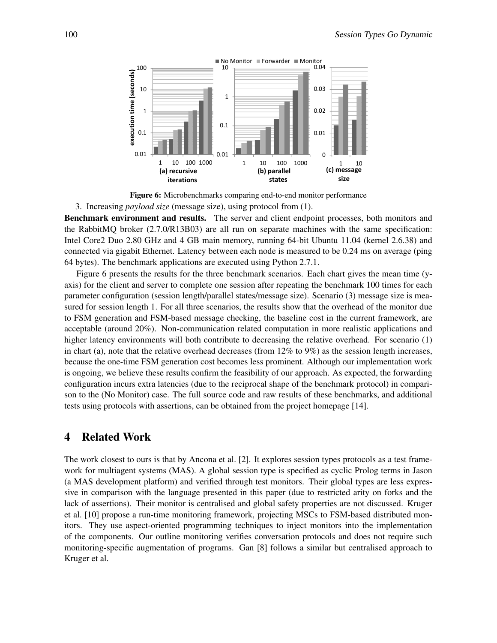<span id="page-5-0"></span>

Figure 6: Microbenchmarks comparing end-to-end monitor performance

3. Increasing *payload size* (message size), using protocol from (1).

Benchmark environment and results. The server and client endpoint processes, both monitors and the RabbitMQ broker (2.7.0/R13B03) are all run on separate machines with the same specification: Intel Core2 Duo 2.80 GHz and 4 GB main memory, running 64-bit Ubuntu 11.04 (kernel 2.6.38) and connected via gigabit Ethernet. Latency between each node is measured to be 0.24 ms on average (ping 64 bytes). The benchmark applications are executed using Python 2.7.1.

Figure [6](#page-5-0) presents the results for the three benchmark scenarios. Each chart gives the mean time (yaxis) for the client and server to complete one session after repeating the benchmark 100 times for each parameter configuration (session length/parallel states/message size). Scenario (3) message size is measured for session length 1. For all three scenarios, the results show that the overhead of the monitor due to FSM generation and FSM-based message checking, the baseline cost in the current framework, are acceptable (around 20%). Non-communication related computation in more realistic applications and higher latency environments will both contribute to decreasing the relative overhead. For scenario (1) in chart (a), note that the relative overhead decreases (from  $12\%$  to  $9\%$ ) as the session length increases, because the one-time FSM generation cost becomes less prominent. Although our implementation work is ongoing, we believe these results confirm the feasibility of our approach. As expected, the forwarding configuration incurs extra latencies (due to the reciprocal shape of the benchmark protocol) in comparison to the (No Monitor) case. The full source code and raw results of these benchmarks, and additional tests using protocols with assertions, can be obtained from the project homepage [\[14\]](#page-7-2).

#### 4 Related Work

The work closest to ours is that by Ancona et al. [\[2\]](#page-6-7). It explores session types protocols as a test framework for multiagent systems (MAS). A global session type is specified as cyclic Prolog terms in Jason (a MAS development platform) and verified through test monitors. Their global types are less expressive in comparison with the language presented in this paper (due to restricted arity on forks and the lack of assertions). Their monitor is centralised and global safety properties are not discussed. Kruger et al. [\[10\]](#page-7-5) propose a run-time monitoring framework, projecting MSCs to FSM-based distributed monitors. They use aspect-oriented programming techniques to inject monitors into the implementation of the components. Our outline monitoring verifies conversation protocols and does not require such monitoring-specific augmentation of programs. Gan [\[8\]](#page-6-8) follows a similar but centralised approach to Kruger et al.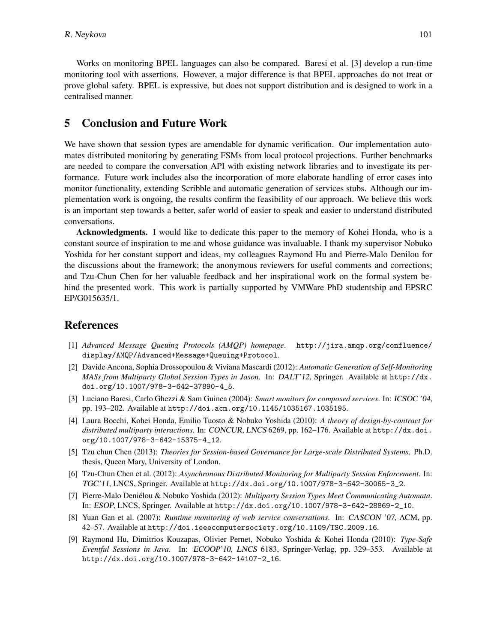Works on monitoring BPEL languages can also be compared. Baresi et al. [\[3\]](#page-6-9) develop a run-time monitoring tool with assertions. However, a major difference is that BPEL approaches do not treat or prove global safety. BPEL is expressive, but does not support distribution and is designed to work in a centralised manner.

#### <span id="page-6-4"></span>5 Conclusion and Future Work

We have shown that session types are amendable for dynamic verification. Our implementation automates distributed monitoring by generating FSMs from local protocol projections. Further benchmarks are needed to compare the conversation API with existing network libraries and to investigate its performance. Future work includes also the incorporation of more elaborate handling of error cases into monitor functionality, extending Scribble and automatic generation of services stubs. Although our implementation work is ongoing, the results confirm the feasibility of our approach. We believe this work is an important step towards a better, safer world of easier to speak and easier to understand distributed conversations.

Acknowledgments. I would like to dedicate this paper to the memory of Kohei Honda, who is a constant source of inspiration to me and whose guidance was invaluable. I thank my supervisor Nobuko Yoshida for her constant support and ideas, my colleagues Raymond Hu and Pierre-Malo Denilou for the discussions about the framework; the anonymous reviewers for useful comments and corrections; and Tzu-Chun Chen for her valuable feedback and her inspirational work on the formal system behind the presented work. This work is partially supported by VMWare PhD studentship and EPSRC EP/G015635/1.

#### References

- <span id="page-6-6"></span>[1] *Advanced Message Queuing Protocols (AMQP) homepage*. [http://jira.amqp.org/confluence/](http://jira.amqp.org/confluence/display/AMQP/Advanced+Message+Queuing+Protocol) [display/AMQP/Advanced+Message+Queuing+Protocol](http://jira.amqp.org/confluence/display/AMQP/Advanced+Message+Queuing+Protocol).
- <span id="page-6-7"></span>[2] Davide Ancona, Sophia Drossopoulou & Viviana Mascardi (2012): *Automatic Generation of Self-Monitoring MASs from Multiparty Global Session Types in Jason*. In: DALT'12, Springer. Available at [http://dx.](http://dx.doi.org/10.1007/978-3-642-37890-4_5) [doi.org/10.1007/978-3-642-37890-4\\_5](http://dx.doi.org/10.1007/978-3-642-37890-4_5).
- <span id="page-6-9"></span>[3] Luciano Baresi, Carlo Ghezzi & Sam Guinea (2004): *Smart monitors for composed services*. In: ICSOC '04, pp. 193–202. Available at <http://doi.acm.org/10.1145/1035167.1035195>.
- <span id="page-6-5"></span>[4] Laura Bocchi, Kohei Honda, Emilio Tuosto & Nobuko Yoshida (2010): *A theory of design-by-contract for distributed multiparty interactions*. In: CONCUR, LNCS 6269, pp. 162–176. Available at [http://dx.doi.](http://dx.doi.org/10.1007/978-3-642-15375-4_12) [org/10.1007/978-3-642-15375-4\\_12](http://dx.doi.org/10.1007/978-3-642-15375-4_12).
- <span id="page-6-3"></span>[5] Tzu chun Chen (2013): *Theories for Session-based Governance for Large-scale Distributed Systems*. Ph.D. thesis, Queen Mary, University of London.
- <span id="page-6-0"></span>[6] Tzu-Chun Chen et al. (2012): *Asynchronous Distributed Monitoring for Multiparty Session Enforcement*. In: TGC'11, LNCS, Springer. Available at [http://dx.doi.org/10.1007/978-3-642-30065-3\\_2](http://dx.doi.org/10.1007/978-3-642-30065-3_2).
- <span id="page-6-1"></span>[7] Pierre-Malo Denielou & Nobuko Yoshida (2012): ´ *Multiparty Session Types Meet Communicating Automata*. In: ESOP, LNCS, Springer. Available at [http://dx.doi.org/10.1007/978-3-642-28869-2\\_10](http://dx.doi.org/10.1007/978-3-642-28869-2_10).
- <span id="page-6-8"></span>[8] Yuan Gan et al. (2007): *Runtime monitoring of web service conversations*. In: CASCON '07, ACM, pp. 42–57. Available at <http://doi.ieeecomputersociety.org/10.1109/TSC.2009.16>.
- <span id="page-6-2"></span>[9] Raymond Hu, Dimitrios Kouzapas, Olivier Pernet, Nobuko Yoshida & Kohei Honda (2010): *Type-Safe Eventful Sessions in Java*. In: ECOOP'10, LNCS 6183, Springer-Verlag, pp. 329–353. Available at [http://dx.doi.org/10.1007/978-3-642-14107-2\\_16](http://dx.doi.org/10.1007/978-3-642-14107-2_16).